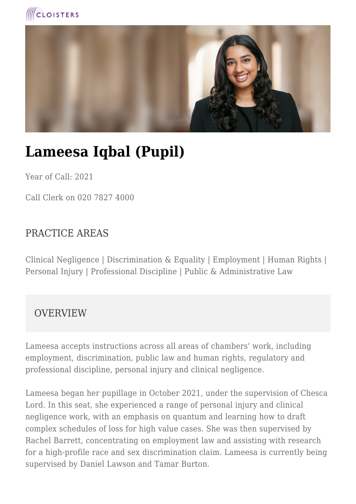



# **Lameesa Iqbal (Pupil)**

Year of Call: 2021

Call Clerk on 020 7827 4000

### PRACTICE AREAS

Clinical Negligence | Discrimination & Equality | Employment | Human Rights | Personal Injury | Professional Discipline | Public & Administrative Law

### **OVERVIEW**

Lameesa accepts instructions across all areas of chambers' work, including employment, discrimination, public law and human rights, regulatory and professional discipline, personal injury and clinical negligence.

Lameesa began her pupillage in October 2021, under the supervision of Chesca Lord. In this seat, she experienced a range of personal injury and clinical negligence work, with an emphasis on quantum and learning how to draft complex schedules of loss for high value cases. She was then supervised by Rachel Barrett, concentrating on employment law and assisting with research for a high-profile race and sex discrimination claim. Lameesa is currently being supervised by Daniel Lawson and Tamar Burton.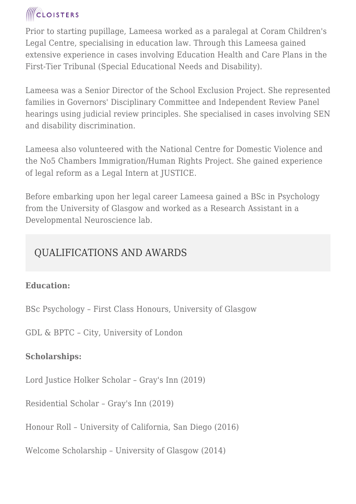## **ICLOISTERS**

Prior to starting pupillage, Lameesa worked as a paralegal at Coram Children's Legal Centre, specialising in education law. Through this Lameesa gained extensive experience in cases involving Education Health and Care Plans in the First-Tier Tribunal (Special Educational Needs and Disability).

Lameesa was a Senior Director of the School Exclusion Project. She represented families in Governors' Disciplinary Committee and Independent Review Panel hearings using judicial review principles. She specialised in cases involving SEN and disability discrimination.

Lameesa also volunteered with the National Centre for Domestic Violence and the No5 Chambers Immigration/Human Rights Project. She gained experience of legal reform as a Legal Intern at JUSTICE.

Before embarking upon her legal career Lameesa gained a BSc in Psychology from the University of Glasgow and worked as a Research Assistant in a Developmental Neuroscience lab.

### QUALIFICATIONS AND AWARDS

### **Education:**

BSc Psychology – First Class Honours, University of Glasgow

GDL & BPTC – City, University of London

### **Scholarships:**

Lord Justice Holker Scholar – Gray's Inn (2019)

Residential Scholar – Gray's Inn (2019)

Honour Roll – University of California, San Diego (2016)

Welcome Scholarship – University of Glasgow (2014)